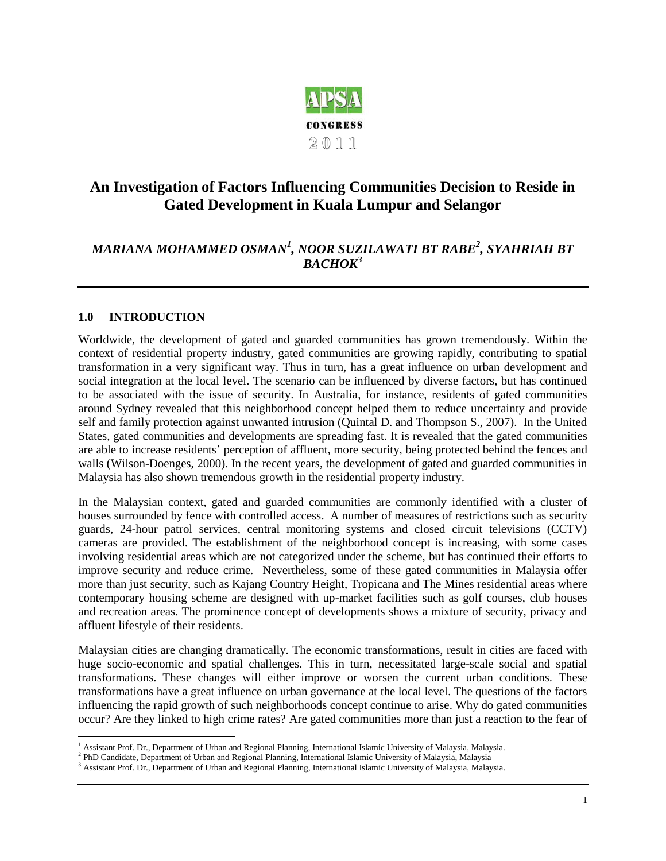

# **An Investigation of Factors Influencing Communities Decision to Reside in Gated Development in Kuala Lumpur and Selangor**

# *MARIANA MOHAMMED OSMAN<sup>1</sup> , NOOR SUZILAWATI BT RABE<sup>2</sup> , SYAHRIAH BT BACHOK<sup>3</sup>*

# **1.0 INTRODUCTION**

Worldwide, the development of gated and guarded communities has grown tremendously. Within the context of residential property industry, gated communities are growing rapidly, contributing to spatial transformation in a very significant way. Thus in turn, has a great influence on urban development and social integration at the local level. The scenario can be influenced by diverse factors, but has continued to be associated with the issue of security. In Australia, for instance, residents of gated communities around Sydney revealed that this neighborhood concept helped them to reduce uncertainty and provide self and family protection against unwanted intrusion (Quintal D. and Thompson S., 2007). In the United States, gated communities and developments are spreading fast. It is revealed that the gated communities are able to increase residents" perception of affluent, more security, being protected behind the fences and walls (Wilson-Doenges, 2000). In the recent years, the development of gated and guarded communities in Malaysia has also shown tremendous growth in the residential property industry.

In the Malaysian context, gated and guarded communities are commonly identified with a cluster of houses surrounded by fence with controlled access. A number of measures of restrictions such as security guards, 24-hour patrol services, central monitoring systems and closed circuit televisions (CCTV) cameras are provided. The establishment of the neighborhood concept is increasing, with some cases involving residential areas which are not categorized under the scheme, but has continued their efforts to improve security and reduce crime. Nevertheless, some of these gated communities in Malaysia offer more than just security, such as Kajang Country Height, Tropicana and The Mines residential areas where contemporary housing scheme are designed with up-market facilities such as golf courses, club houses and recreation areas. The prominence concept of developments shows a mixture of security, privacy and affluent lifestyle of their residents.

Malaysian cities are changing dramatically. The economic transformations, result in cities are faced with huge socio-economic and spatial challenges. This in turn, necessitated large-scale social and spatial transformations. These changes will either improve or worsen the current urban conditions. These transformations have a great influence on urban governance at the local level. The questions of the factors influencing the rapid growth of such neighborhoods concept continue to arise. Why do gated communities occur? Are they linked to high crime rates? Are gated communities more than just a reaction to the fear of

l <sup>1</sup> Assistant Prof. Dr., Department of Urban and Regional Planning, International Islamic University of Malaysia, Malaysia.

<sup>2</sup> PhD Candidate, Department of Urban and Regional Planning, International Islamic University of Malaysia, Malaysia

<sup>&</sup>lt;sup>3</sup> Assistant Prof. Dr., Department of Urban and Regional Planning, International Islamic University of Malaysia, Malaysia.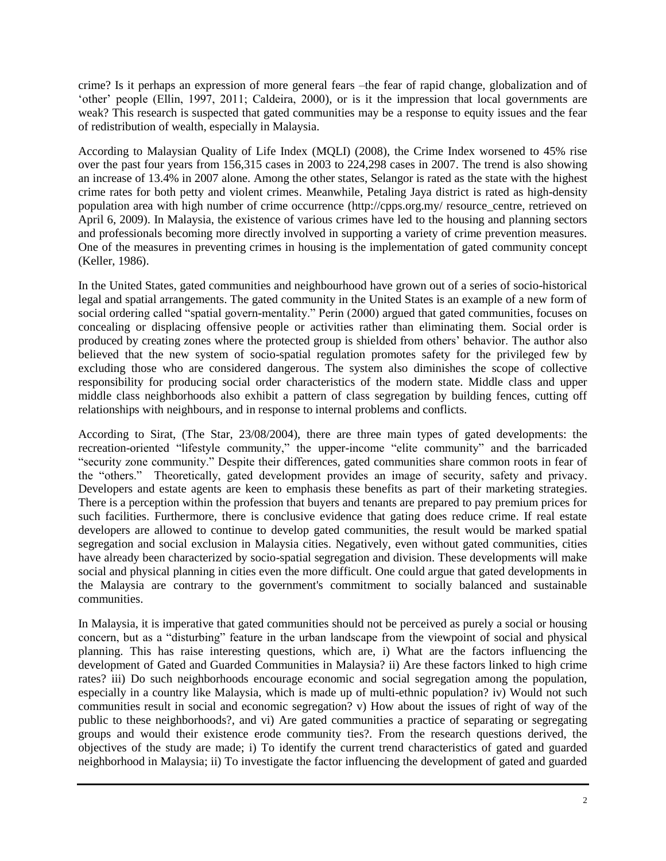crime? Is it perhaps an expression of more general fears –the fear of rapid change, globalization and of "other" people (Ellin, 1997, 2011; Caldeira, 2000), or is it the impression that local governments are weak? This research is suspected that gated communities may be a response to equity issues and the fear of redistribution of wealth, especially in Malaysia.

According to Malaysian Quality of Life Index (MQLI) (2008), the Crime Index worsened to 45% rise over the past four years from 156,315 cases in 2003 to 224,298 cases in 2007. The trend is also showing an increase of 13.4% in 2007 alone. Among the other states, Selangor is rated as the state with the highest crime rates for both petty and violent crimes. Meanwhile, Petaling Jaya district is rated as high-density population area with high number of crime occurrence (http://cpps.org.my/ resource\_centre, retrieved on April 6, 2009). In Malaysia, the existence of various crimes have led to the housing and planning sectors and professionals becoming more directly involved in supporting a variety of crime prevention measures. One of the measures in preventing crimes in housing is the implementation of gated community concept (Keller, 1986).

In the United States, gated communities and neighbourhood have grown out of a series of socio-historical legal and spatial arrangements. The gated community in the United States is an example of a new form of social ordering called "spatial govern-mentality." Perin (2000) argued that gated communities, focuses on concealing or displacing offensive people or activities rather than eliminating them. Social order is produced by creating zones where the protected group is shielded from others" behavior. The author also believed that the new system of socio-spatial regulation promotes safety for the privileged few by excluding those who are considered dangerous. The system also diminishes the scope of collective responsibility for producing social order characteristics of the modern state. Middle class and upper middle class neighborhoods also exhibit a pattern of class segregation by building fences, cutting off relationships with neighbours, and in response to internal problems and conflicts.

According to Sirat, (The Star, 23/08/2004), there are three main types of gated developments: the recreation-oriented "lifestyle community," the upper-income "elite community" and the barricaded "security zone community." Despite their differences, gated communities share common roots in fear of the "others." Theoretically, gated development provides an image of security, safety and privacy. Developers and estate agents are keen to emphasis these benefits as part of their marketing strategies. There is a perception within the profession that buyers and tenants are prepared to pay premium prices for such facilities. Furthermore, there is conclusive evidence that gating does reduce crime. If real estate developers are allowed to continue to develop gated communities, the result would be marked spatial segregation and social exclusion in Malaysia cities. Negatively, even without gated communities, cities have already been characterized by socio-spatial segregation and division. These developments will make social and physical planning in cities even the more difficult. One could argue that gated developments in the Malaysia are contrary to the government's commitment to socially balanced and sustainable communities.

In Malaysia, it is imperative that gated communities should not be perceived as purely a social or housing concern, but as a "disturbing" feature in the urban landscape from the viewpoint of social and physical planning. This has raise interesting questions, which are, i) What are the factors influencing the development of Gated and Guarded Communities in Malaysia? ii) Are these factors linked to high crime rates? iii) Do such neighborhoods encourage economic and social segregation among the population, especially in a country like Malaysia, which is made up of multi-ethnic population? iv) Would not such communities result in social and economic segregation? v) How about the issues of right of way of the public to these neighborhoods?, and vi) Are gated communities a practice of separating or segregating groups and would their existence erode community ties?. From the research questions derived, the objectives of the study are made; i) To identify the current trend characteristics of gated and guarded neighborhood in Malaysia; ii) To investigate the factor influencing the development of gated and guarded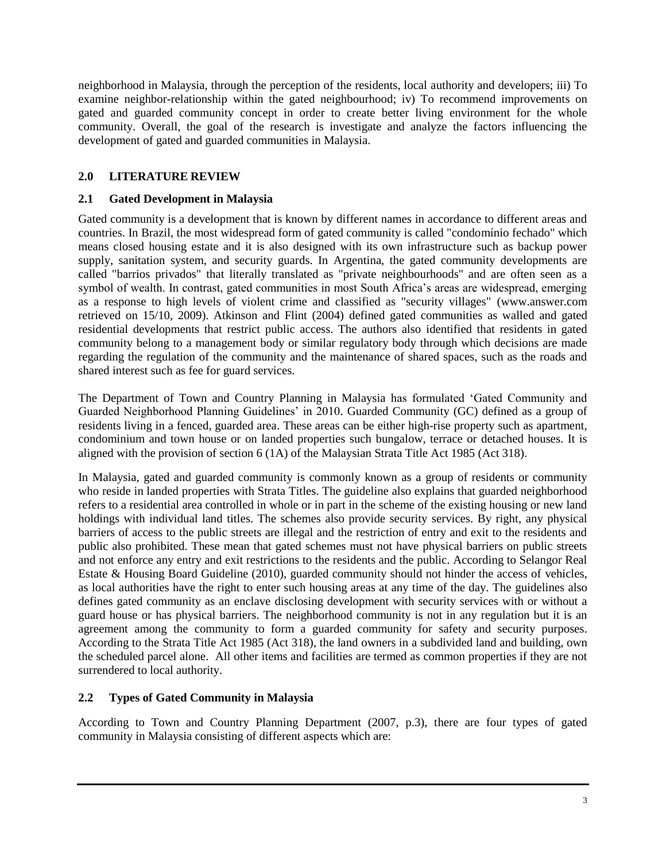neighborhood in Malaysia, through the perception of the residents, local authority and developers; iii) To examine neighbor-relationship within the gated neighbourhood; iv) To recommend improvements on gated and guarded community concept in order to create better living environment for the whole community. Overall, the goal of the research is investigate and analyze the factors influencing the development of gated and guarded communities in Malaysia.

# **2.0 LITERATURE REVIEW**

# **2.1 Gated Development in Malaysia**

Gated community is a development that is known by different names in accordance to different areas and countries. In Brazil, the most widespread form of gated community is called "condomínio fechado" which means closed housing estate and it is also designed with its own infrastructure such as backup power supply, sanitation system, and security guards. In Argentina, the gated community developments are called "barrios privados" that literally translated as "private neighbourhoods" and are often seen as a symbol of wealth. In contrast, gated communities in most South Africa's areas are widespread, emerging as a response to high levels of violent crime and classified as "security villages" (www.answer.com retrieved on 15/10, 2009). Atkinson and Flint (2004) defined gated communities as walled and gated residential developments that restrict public access. The authors also identified that residents in gated community belong to a management body or similar regulatory body through which decisions are made regarding the regulation of the community and the maintenance of shared spaces, such as the roads and shared interest such as fee for guard services.

The Department of Town and Country Planning in Malaysia has formulated "Gated Community and Guarded Neighborhood Planning Guidelines' in 2010. Guarded Community (GC) defined as a group of residents living in a fenced, guarded area. These areas can be either high-rise property such as apartment, condominium and town house or on landed properties such bungalow, terrace or detached houses. It is aligned with the provision of section 6 (1A) of the Malaysian Strata Title Act 1985 (Act 318).

In Malaysia, gated and guarded community is commonly known as a group of residents or community who reside in landed properties with Strata Titles. The guideline also explains that guarded neighborhood refers to a residential area controlled in whole or in part in the scheme of the existing housing or new land holdings with individual land titles. The schemes also provide security services. By right, any physical barriers of access to the public streets are illegal and the restriction of entry and exit to the residents and public also prohibited. These mean that gated schemes must not have physical barriers on public streets and not enforce any entry and exit restrictions to the residents and the public. According to Selangor Real Estate & Housing Board Guideline (2010), guarded community should not hinder the access of vehicles, as local authorities have the right to enter such housing areas at any time of the day. The guidelines also defines gated community as an enclave disclosing development with security services with or without a guard house or has physical barriers. The neighborhood community is not in any regulation but it is an agreement among the community to form a guarded community for safety and security purposes. According to the Strata Title Act 1985 (Act 318), the land owners in a subdivided land and building, own the scheduled parcel alone. All other items and facilities are termed as common properties if they are not surrendered to local authority.

# **2.2 Types of Gated Community in Malaysia**

According to Town and Country Planning Department (2007, p.3), there are four types of gated community in Malaysia consisting of different aspects which are: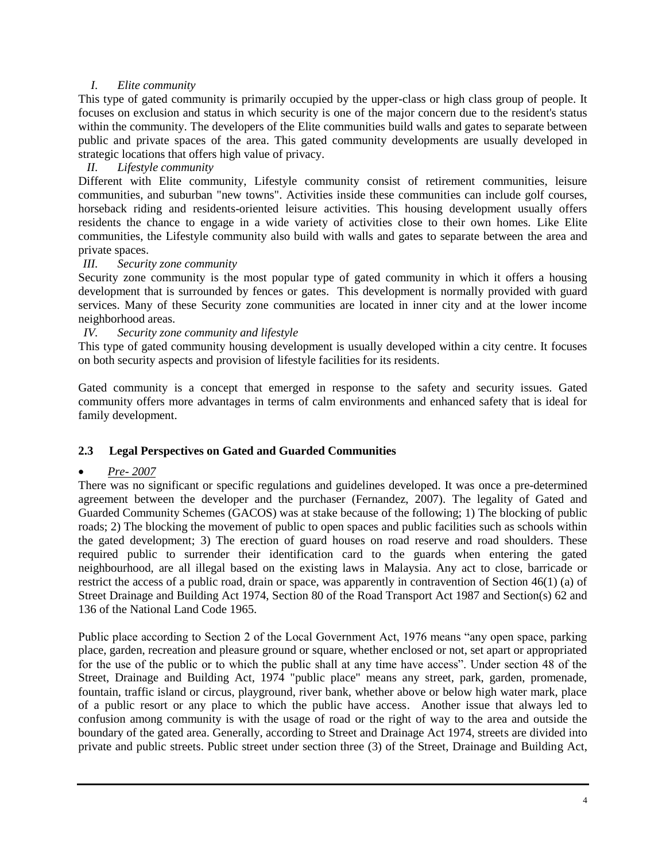# *I. Elite community*

This type of gated community is primarily occupied by the upper-class or high class group of people. It focuses on exclusion and status in which security is one of the major concern due to the resident's status within the community. The developers of the Elite communities build walls and gates to separate between public and private spaces of the area. This gated community developments are usually developed in strategic locations that offers high value of privacy.

# *II. Lifestyle community*

Different with Elite community, Lifestyle community consist of retirement communities, leisure communities, and suburban "new towns". Activities inside these communities can include golf courses, horseback riding and residents-oriented leisure activities. This housing development usually offers residents the chance to engage in a wide variety of activities close to their own homes. Like Elite communities, the Lifestyle community also build with walls and gates to separate between the area and private spaces.

### *III. Security zone community*

Security zone community is the most popular type of gated community in which it offers a housing development that is surrounded by fences or gates. This development is normally provided with guard services. Many of these Security zone communities are located in inner city and at the lower income neighborhood areas.

# *IV. Security zone community and lifestyle*

This type of gated community housing development is usually developed within a city centre. It focuses on both security aspects and provision of lifestyle facilities for its residents.

Gated community is a concept that emerged in response to the safety and security issues. Gated community offers more advantages in terms of calm environments and enhanced safety that is ideal for family development.

# **2.3 Legal Perspectives on Gated and Guarded Communities**

### *Pre- 2007*

There was no significant or specific regulations and guidelines developed. It was once a pre-determined agreement between the developer and the purchaser (Fernandez, 2007). The legality of Gated and Guarded Community Schemes (GACOS) was at stake because of the following; 1) The blocking of public roads; 2) The blocking the movement of public to open spaces and public facilities such as schools within the gated development; 3) The erection of guard houses on road reserve and road shoulders. These required public to surrender their identification card to the guards when entering the gated neighbourhood, are all illegal based on the existing laws in Malaysia. Any act to close, barricade or restrict the access of a public road, drain or space, was apparently in contravention of Section 46(1) (a) of Street Drainage and Building Act 1974, Section 80 of the Road Transport Act 1987 and Section(s) 62 and 136 of the National Land Code 1965.

Public place according to Section 2 of the Local Government Act, 1976 means "any open space, parking place, garden, recreation and pleasure ground or square, whether enclosed or not, set apart or appropriated for the use of the public or to which the public shall at any time have access". Under section 48 of the Street, Drainage and Building Act, 1974 "public place" means any street, park, garden, promenade, fountain, traffic island or circus, playground, river bank, whether above or below high water mark, place of a public resort or any place to which the public have access. Another issue that always led to confusion among community is with the usage of road or the right of way to the area and outside the boundary of the gated area. Generally, according to Street and Drainage Act 1974, streets are divided into private and public streets. Public street under section three (3) of the Street, Drainage and Building Act,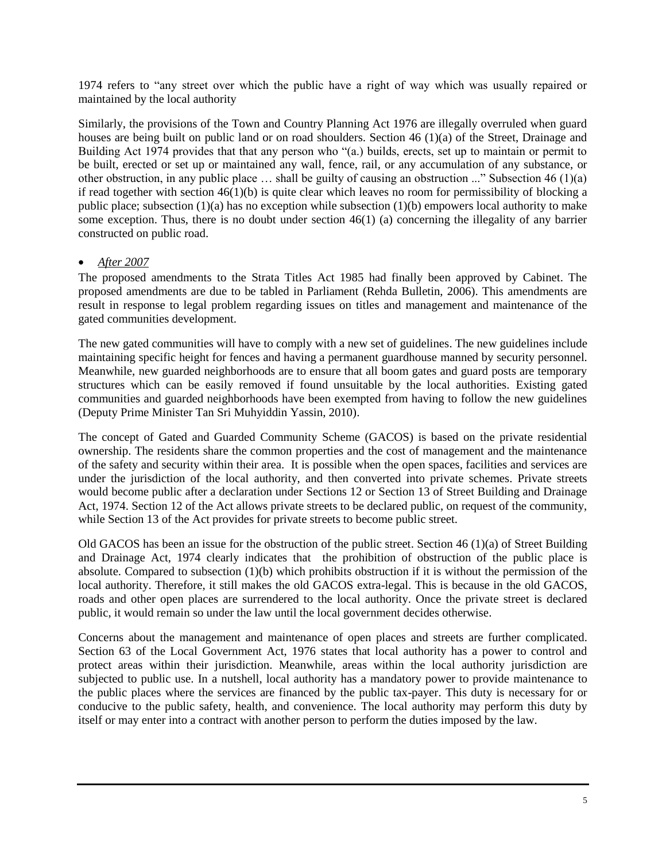1974 refers to "any street over which the public have a right of way which was usually repaired or maintained by the local authority

Similarly, the provisions of the Town and Country Planning Act 1976 are illegally overruled when guard houses are being built on public land or on road shoulders. Section 46 (1)(a) of the Street, Drainage and Building Act 1974 provides that that any person who "(a.) builds, erects, set up to maintain or permit to be built, erected or set up or maintained any wall, fence, rail, or any accumulation of any substance, or other obstruction, in any public place … shall be guilty of causing an obstruction ..." Subsection 46 (1)(a) if read together with section  $46(1)(b)$  is quite clear which leaves no room for permissibility of blocking a public place; subsection  $(1)(a)$  has no exception while subsection  $(1)(b)$  empowers local authority to make some exception. Thus, there is no doubt under section 46(1) (a) concerning the illegality of any barrier constructed on public road.

# *After 2007*

The proposed amendments to the Strata Titles Act 1985 had finally been approved by Cabinet. The proposed amendments are due to be tabled in Parliament (Rehda Bulletin, 2006). This amendments are result in response to legal problem regarding issues on titles and management and maintenance of the gated communities development.

The new gated communities will have to comply with a new set of guidelines. The new guidelines include maintaining specific height for fences and having a permanent guardhouse manned by security personnel. Meanwhile, new guarded neighborhoods are to ensure that all boom gates and guard posts are temporary structures which can be easily removed if found unsuitable by the local authorities. Existing gated communities and guarded neighborhoods have been exempted from having to follow the new guidelines (Deputy Prime Minister Tan Sri Muhyiddin Yassin, 2010).

The concept of Gated and Guarded Community Scheme (GACOS) is based on the private residential ownership. The residents share the common properties and the cost of management and the maintenance of the safety and security within their area. It is possible when the open spaces, facilities and services are under the jurisdiction of the local authority, and then converted into private schemes. Private streets would become public after a declaration under Sections 12 or Section 13 of Street Building and Drainage Act, 1974. Section 12 of the Act allows private streets to be declared public, on request of the community, while Section 13 of the Act provides for private streets to become public street.

Old GACOS has been an issue for the obstruction of the public street. Section 46 (1)(a) of Street Building and Drainage Act, 1974 clearly indicates that the prohibition of obstruction of the public place is absolute. Compared to subsection (1)(b) which prohibits obstruction if it is without the permission of the local authority. Therefore, it still makes the old GACOS extra-legal. This is because in the old GACOS, roads and other open places are surrendered to the local authority. Once the private street is declared public, it would remain so under the law until the local government decides otherwise.

Concerns about the management and maintenance of open places and streets are further complicated. Section 63 of the Local Government Act, 1976 states that local authority has a power to control and protect areas within their jurisdiction. Meanwhile, areas within the local authority jurisdiction are subjected to public use. In a nutshell, local authority has a mandatory power to provide maintenance to the public places where the services are financed by the public tax-payer. This duty is necessary for or conducive to the public safety, health, and convenience. The local authority may perform this duty by itself or may enter into a contract with another person to perform the duties imposed by the law.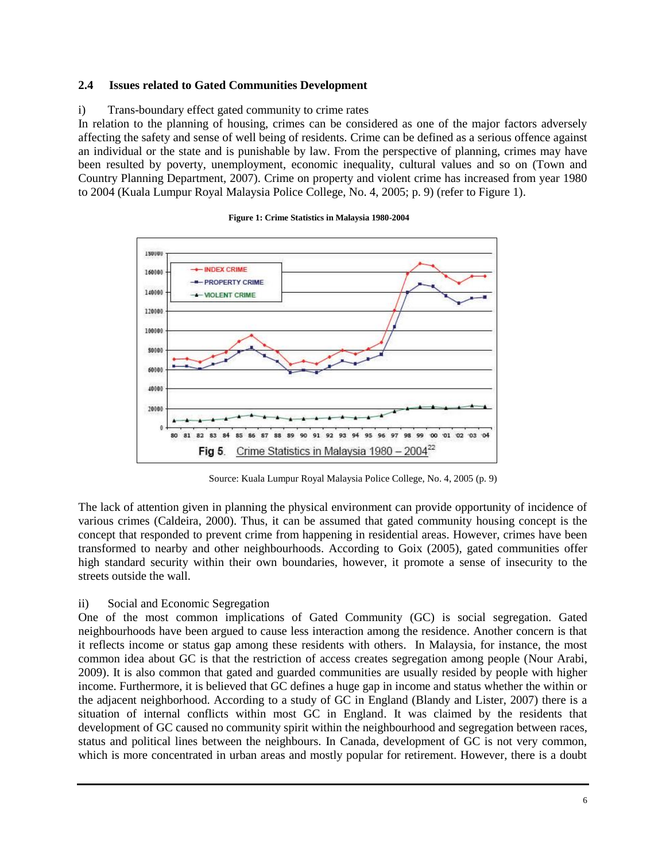### **2.4 Issues related to Gated Communities Development**

### i) Trans-boundary effect gated community to crime rates

In relation to the planning of housing, crimes can be considered as one of the major factors adversely affecting the safety and sense of well being of residents. Crime can be defined as a serious offence against an individual or the state and is punishable by law. From the perspective of planning, crimes may have been resulted by poverty, unemployment, economic inequality, cultural values and so on (Town and Country Planning Department, 2007). Crime on property and violent crime has increased from year 1980 to 2004 (Kuala Lumpur Royal Malaysia Police College, No. 4, 2005; p. 9) (refer to Figure 1).



**Figure 1: Crime Statistics in Malaysia 1980-2004**

Source: Kuala Lumpur Royal Malaysia Police College, No. 4, 2005 (p. 9)

The lack of attention given in planning the physical environment can provide opportunity of incidence of various crimes (Caldeira, 2000). Thus, it can be assumed that gated community housing concept is the concept that responded to prevent crime from happening in residential areas. However, crimes have been transformed to nearby and other neighbourhoods. According to Goix (2005), gated communities offer high standard security within their own boundaries, however, it promote a sense of insecurity to the streets outside the wall.

#### ii) Social and Economic Segregation

One of the most common implications of Gated Community (GC) is social segregation. Gated neighbourhoods have been argued to cause less interaction among the residence. Another concern is that it reflects income or status gap among these residents with others. In Malaysia, for instance, the most common idea about GC is that the restriction of access creates segregation among people (Nour Arabi, 2009). It is also common that gated and guarded communities are usually resided by people with higher income. Furthermore, it is believed that GC defines a huge gap in income and status whether the within or the adjacent neighborhood. According to a study of GC in England (Blandy and Lister, 2007) there is a situation of internal conflicts within most GC in England. It was claimed by the residents that development of GC caused no community spirit within the neighbourhood and segregation between races, status and political lines between the neighbours. In Canada, development of GC is not very common, which is more concentrated in urban areas and mostly popular for retirement. However, there is a doubt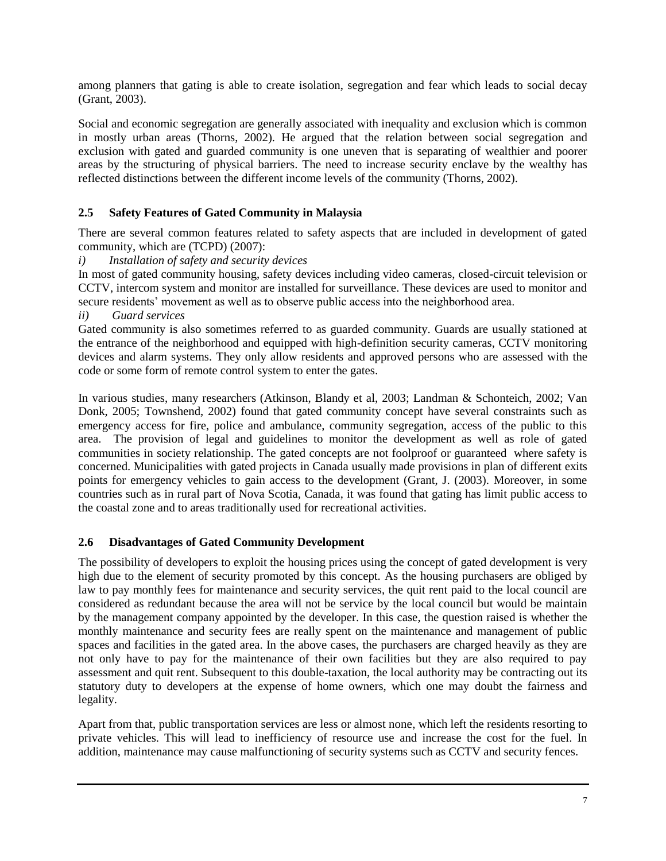among planners that gating is able to create isolation, segregation and fear which leads to social decay (Grant, 2003).

Social and economic segregation are generally associated with inequality and exclusion which is common in mostly urban areas (Thorns, 2002). He argued that the relation between social segregation and exclusion with gated and guarded community is one uneven that is separating of wealthier and poorer areas by the structuring of physical barriers. The need to increase security enclave by the wealthy has reflected distinctions between the different income levels of the community (Thorns, 2002).

# **2.5 Safety Features of Gated Community in Malaysia**

There are several common features related to safety aspects that are included in development of gated community, which are (TCPD) (2007):

*i) Installation of safety and security devices*

In most of gated community housing, safety devices including video cameras, closed-circuit television or CCTV, intercom system and monitor are installed for surveillance. These devices are used to monitor and secure residents' movement as well as to observe public access into the neighborhood area.

*ii) Guard services*

Gated community is also sometimes referred to as guarded community. Guards are usually stationed at the entrance of the neighborhood and equipped with high-definition security cameras, CCTV monitoring devices and alarm systems. They only allow residents and approved persons who are assessed with the code or some form of remote control system to enter the gates.

In various studies, many researchers (Atkinson, Blandy et al, 2003; Landman & Schonteich, 2002; Van Donk, 2005; Townshend, 2002) found that gated community concept have several constraints such as emergency access for fire, police and ambulance, community segregation, access of the public to this area. The provision of legal and guidelines to monitor the development as well as role of gated communities in society relationship. The gated concepts are not foolproof or guaranteed where safety is concerned. Municipalities with gated projects in Canada usually made provisions in plan of different exits points for emergency vehicles to gain access to the development (Grant, J. (2003). Moreover, in some countries such as in rural part of Nova Scotia, Canada, it was found that gating has limit public access to the coastal zone and to areas traditionally used for recreational activities.

# **2.6 Disadvantages of Gated Community Development**

The possibility of developers to exploit the housing prices using the concept of gated development is very high due to the element of security promoted by this concept. As the housing purchasers are obliged by law to pay monthly fees for maintenance and security services, the quit rent paid to the local council are considered as redundant because the area will not be service by the local council but would be maintain by the management company appointed by the developer. In this case, the question raised is whether the monthly maintenance and security fees are really spent on the maintenance and management of public spaces and facilities in the gated area. In the above cases, the purchasers are charged heavily as they are not only have to pay for the maintenance of their own facilities but they are also required to pay assessment and quit rent. Subsequent to this double-taxation, the local authority may be contracting out its statutory duty to developers at the expense of home owners, which one may doubt the fairness and legality.

Apart from that, public transportation services are less or almost none, which left the residents resorting to private vehicles. This will lead to inefficiency of resource use and increase the cost for the fuel. In addition, maintenance may cause malfunctioning of security systems such as CCTV and security fences.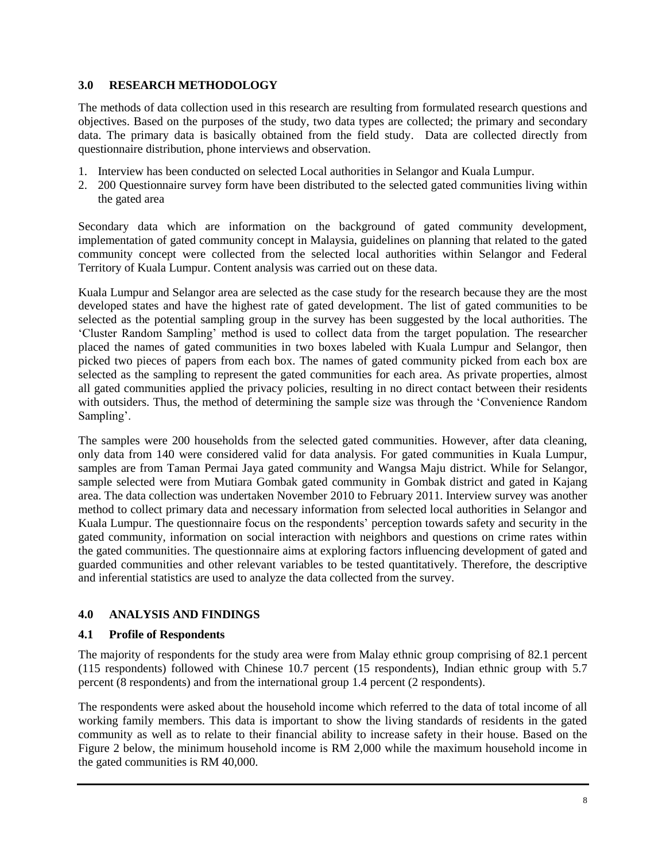# **3.0 RESEARCH METHODOLOGY**

The methods of data collection used in this research are resulting from formulated research questions and objectives. Based on the purposes of the study, two data types are collected; the primary and secondary data. The primary data is basically obtained from the field study. Data are collected directly from questionnaire distribution, phone interviews and observation.

- 1. Interview has been conducted on selected Local authorities in Selangor and Kuala Lumpur.
- 2. 200 Questionnaire survey form have been distributed to the selected gated communities living within the gated area

Secondary data which are information on the background of gated community development, implementation of gated community concept in Malaysia, guidelines on planning that related to the gated community concept were collected from the selected local authorities within Selangor and Federal Territory of Kuala Lumpur. Content analysis was carried out on these data.

Kuala Lumpur and Selangor area are selected as the case study for the research because they are the most developed states and have the highest rate of gated development. The list of gated communities to be selected as the potential sampling group in the survey has been suggested by the local authorities. The "Cluster Random Sampling" method is used to collect data from the target population. The researcher placed the names of gated communities in two boxes labeled with Kuala Lumpur and Selangor, then picked two pieces of papers from each box. The names of gated community picked from each box are selected as the sampling to represent the gated communities for each area. As private properties, almost all gated communities applied the privacy policies, resulting in no direct contact between their residents with outsiders. Thus, the method of determining the sample size was through the "Convenience Random Sampling'.

The samples were 200 households from the selected gated communities. However, after data cleaning, only data from 140 were considered valid for data analysis. For gated communities in Kuala Lumpur, samples are from Taman Permai Jaya gated community and Wangsa Maju district. While for Selangor, sample selected were from Mutiara Gombak gated community in Gombak district and gated in Kajang area. The data collection was undertaken November 2010 to February 2011. Interview survey was another method to collect primary data and necessary information from selected local authorities in Selangor and Kuala Lumpur. The questionnaire focus on the respondents' perception towards safety and security in the gated community, information on social interaction with neighbors and questions on crime rates within the gated communities. The questionnaire aims at exploring factors influencing development of gated and guarded communities and other relevant variables to be tested quantitatively. Therefore, the descriptive and inferential statistics are used to analyze the data collected from the survey.

# **4.0 ANALYSIS AND FINDINGS**

# **4.1 Profile of Respondents**

The majority of respondents for the study area were from Malay ethnic group comprising of 82.1 percent (115 respondents) followed with Chinese 10.7 percent (15 respondents), Indian ethnic group with 5.7 percent (8 respondents) and from the international group 1.4 percent (2 respondents).

The respondents were asked about the household income which referred to the data of total income of all working family members. This data is important to show the living standards of residents in the gated community as well as to relate to their financial ability to increase safety in their house. Based on the Figure 2 below, the minimum household income is RM 2,000 while the maximum household income in the gated communities is RM 40,000.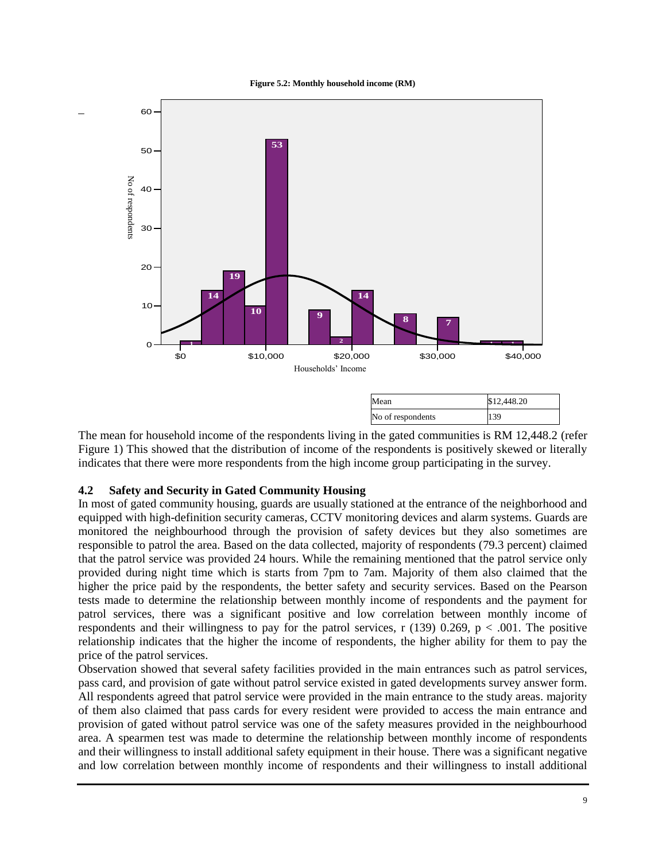**Figure 5.2: Monthly household income (RM)**



The mean for household income of the respondents living in the gated communities is RM 12,448.2 (refer Figure 1) This showed that the distribution of income of the respondents is positively skewed or literally indicates that there were more respondents from the high income group participating in the survey.

# **4.2 Safety and Security in Gated Community Housing**

\_

In most of gated community housing, guards are usually stationed at the entrance of the neighborhood and equipped with high-definition security cameras, CCTV monitoring devices and alarm systems. Guards are monitored the neighbourhood through the provision of safety devices but they also sometimes are responsible to patrol the area. Based on the data collected, majority of respondents (79.3 percent) claimed that the patrol service was provided 24 hours. While the remaining mentioned that the patrol service only provided during night time which is starts from 7pm to 7am. Majority of them also claimed that the higher the price paid by the respondents, the better safety and security services. Based on the Pearson tests made to determine the relationship between monthly income of respondents and the payment for patrol services, there was a significant positive and low correlation between monthly income of respondents and their willingness to pay for the patrol services, r (139) 0.269,  $p < .001$ . The positive relationship indicates that the higher the income of respondents, the higher ability for them to pay the price of the patrol services.

Observation showed that several safety facilities provided in the main entrances such as patrol services, pass card, and provision of gate without patrol service existed in gated developments survey answer form. All respondents agreed that patrol service were provided in the main entrance to the study areas. majority of them also claimed that pass cards for every resident were provided to access the main entrance and provision of gated without patrol service was one of the safety measures provided in the neighbourhood area. A spearmen test was made to determine the relationship between monthly income of respondents and their willingness to install additional safety equipment in their house. There was a significant negative and low correlation between monthly income of respondents and their willingness to install additional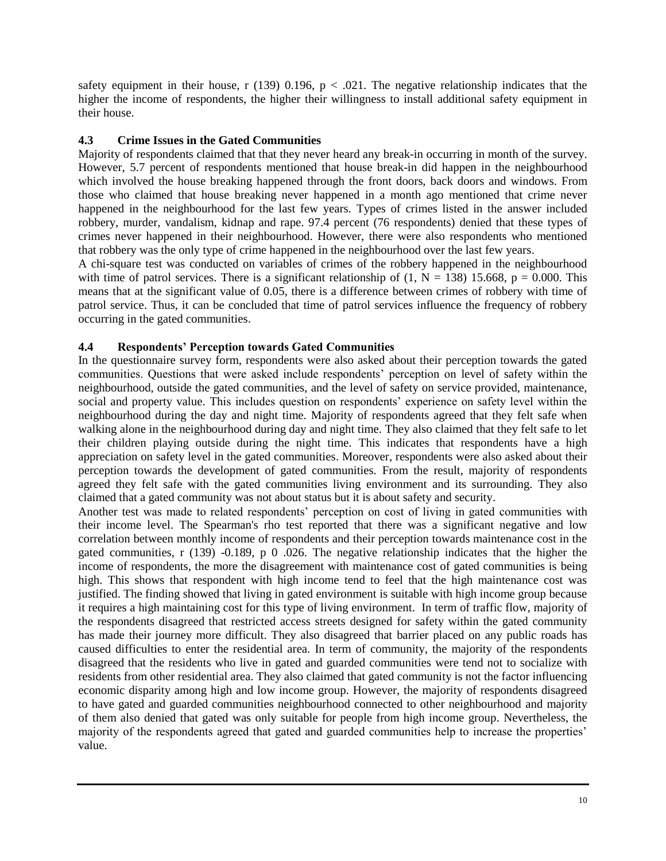safety equipment in their house, r (139) 0.196,  $p < .021$ . The negative relationship indicates that the higher the income of respondents, the higher their willingness to install additional safety equipment in their house.

# **4.3 Crime Issues in the Gated Communities**

Majority of respondents claimed that that they never heard any break-in occurring in month of the survey. However, 5.7 percent of respondents mentioned that house break-in did happen in the neighbourhood which involved the house breaking happened through the front doors, back doors and windows. From those who claimed that house breaking never happened in a month ago mentioned that crime never happened in the neighbourhood for the last few years. Types of crimes listed in the answer included robbery, murder, vandalism, kidnap and rape. 97.4 percent (76 respondents) denied that these types of crimes never happened in their neighbourhood. However, there were also respondents who mentioned that robbery was the only type of crime happened in the neighbourhood over the last few years.

A chi-square test was conducted on variables of crimes of the robbery happened in the neighbourhood with time of patrol services. There is a significant relationship of  $(1, N = 138)$  15.668, p = 0.000. This means that at the significant value of 0.05, there is a difference between crimes of robbery with time of patrol service. Thus, it can be concluded that time of patrol services influence the frequency of robbery occurring in the gated communities.

# **4.4 Respondents' Perception towards Gated Communities**

In the questionnaire survey form, respondents were also asked about their perception towards the gated communities. Questions that were asked include respondents' perception on level of safety within the neighbourhood, outside the gated communities, and the level of safety on service provided, maintenance, social and property value. This includes question on respondents' experience on safety level within the neighbourhood during the day and night time. Majority of respondents agreed that they felt safe when walking alone in the neighbourhood during day and night time. They also claimed that they felt safe to let their children playing outside during the night time. This indicates that respondents have a high appreciation on safety level in the gated communities. Moreover, respondents were also asked about their perception towards the development of gated communities. From the result, majority of respondents agreed they felt safe with the gated communities living environment and its surrounding. They also claimed that a gated community was not about status but it is about safety and security.

Another test was made to related respondents' perception on cost of living in gated communities with their income level. The Spearman's rho test reported that there was a significant negative and low correlation between monthly income of respondents and their perception towards maintenance cost in the gated communities, r (139) -0.189, p 0 .026. The negative relationship indicates that the higher the income of respondents, the more the disagreement with maintenance cost of gated communities is being high. This shows that respondent with high income tend to feel that the high maintenance cost was justified. The finding showed that living in gated environment is suitable with high income group because it requires a high maintaining cost for this type of living environment. In term of traffic flow, majority of the respondents disagreed that restricted access streets designed for safety within the gated community has made their journey more difficult. They also disagreed that barrier placed on any public roads has caused difficulties to enter the residential area. In term of community, the majority of the respondents disagreed that the residents who live in gated and guarded communities were tend not to socialize with residents from other residential area. They also claimed that gated community is not the factor influencing economic disparity among high and low income group. However, the majority of respondents disagreed to have gated and guarded communities neighbourhood connected to other neighbourhood and majority of them also denied that gated was only suitable for people from high income group. Nevertheless, the majority of the respondents agreed that gated and guarded communities help to increase the properties" value.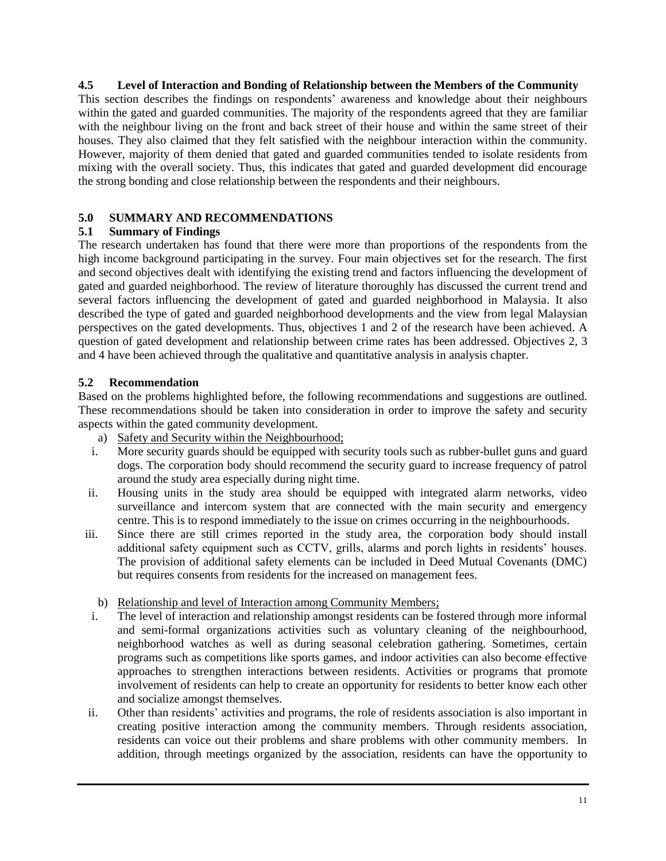## **4.5 Level of Interaction and Bonding of Relationship between the Members of the Community**

This section describes the findings on respondents' awareness and knowledge about their neighbours within the gated and guarded communities. The majority of the respondents agreed that they are familiar with the neighbour living on the front and back street of their house and within the same street of their houses. They also claimed that they felt satisfied with the neighbour interaction within the community. However, majority of them denied that gated and guarded communities tended to isolate residents from mixing with the overall society. Thus, this indicates that gated and guarded development did encourage the strong bonding and close relationship between the respondents and their neighbours.

# **5.0 SUMMARY AND RECOMMENDATIONS**

# **5.1 Summary of Findings**

The research undertaken has found that there were more than proportions of the respondents from the high income background participating in the survey. Four main objectives set for the research. The first and second objectives dealt with identifying the existing trend and factors influencing the development of gated and guarded neighborhood. The review of literature thoroughly has discussed the current trend and several factors influencing the development of gated and guarded neighborhood in Malaysia. It also described the type of gated and guarded neighborhood developments and the view from legal Malaysian perspectives on the gated developments. Thus, objectives 1 and 2 of the research have been achieved. A question of gated development and relationship between crime rates has been addressed. Objectives 2, 3 and 4 have been achieved through the qualitative and quantitative analysis in analysis chapter.

# **5.2 Recommendation**

Based on the problems highlighted before, the following recommendations and suggestions are outlined. These recommendations should be taken into consideration in order to improve the safety and security aspects within the gated community development.

- a) Safety and Security within the Neighbourhood;
- i. More security guards should be equipped with security tools such as rubber-bullet guns and guard dogs. The corporation body should recommend the security guard to increase frequency of patrol around the study area especially during night time.
- ii. Housing units in the study area should be equipped with integrated alarm networks, video surveillance and intercom system that are connected with the main security and emergency centre. This is to respond immediately to the issue on crimes occurring in the neighbourhoods.
- iii. Since there are still crimes reported in the study area, the corporation body should install additional safety equipment such as CCTV, grills, alarms and porch lights in residents' houses. The provision of additional safety elements can be included in Deed Mutual Covenants (DMC) but requires consents from residents for the increased on management fees.
	- b) Relationship and level of Interaction among Community Members;
- i. The level of interaction and relationship amongst residents can be fostered through more informal and semi-formal organizations activities such as voluntary cleaning of the neighbourhood, neighborhood watches as well as during seasonal celebration gathering. Sometimes, certain programs such as competitions like sports games, and indoor activities can also become effective approaches to strengthen interactions between residents. Activities or programs that promote involvement of residents can help to create an opportunity for residents to better know each other and socialize amongst themselves.
- ii. Other than residents" activities and programs, the role of residents association is also important in creating positive interaction among the community members. Through residents association, residents can voice out their problems and share problems with other community members. In addition, through meetings organized by the association, residents can have the opportunity to